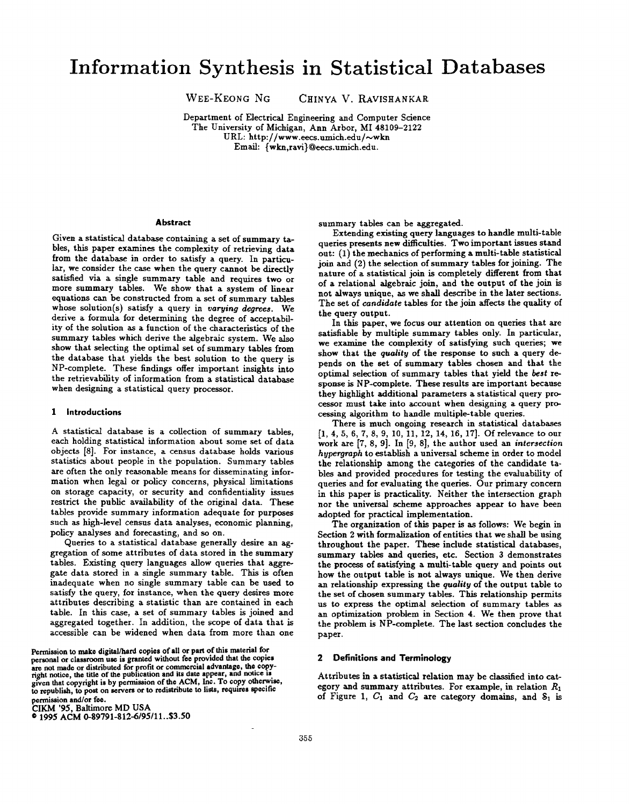WEE-KEONG NG CHINYA V. RAVISHANKAR

Department of Electrical Engineering and Computer Science The University of Michigan, Ann Arbor, MI 48109-2122 URL: http://www.eecs.umich.edu/~wkn Email: {wkn,ravi}@eecs.umich.edu.

#### **Abstract**

Given a statistical database containing a set of summary tables, this paper examines the complexity of retrieving data from the database in order to satisfy a query. In particular, we consider the case when the query cannot be directly satisfied via a single summary table and requires two or more summary tables. We show that a system of linear equations can be constructed from a set of summary tables whose solution(s) satisfy a query in varying degrees. We derive a formula for determining the degree of acceptabdity of the solution as a function of the characteristics of the summary tables which derive the algebraic system. We also show that selecting the optimal set of summary tables from the database that yields the best solution to the query is NP-complete. These findings offer important insights into the retrievability of information from a statistical database when designing a statistical query processor.

#### 1 Introductions

A statistical database is a collection of summary tables, each holding statistical information about some set of data objects [8]. For instance, a census database holds various statistics about people in the population. Summary tables are often the only reasonable means for disseminating information when legal or policy concerns, physical limitations on storage capacity, or security and confidentiality issues restrict the public availability of the original data. These tables provide summary information adequate for purposes such as high-level census data analyses, economic planning, policy analyses and forecasting, and so on.

Queries to a statistical database generally desire an aggregation of some attributes of data stored in the summary tables. Existing query languages allow queries that aggregate data stored in a single summary table. This is often inadequate when no single summary table can be used to satisfy the query, for instance, when the query desires more attributes describing a statistic than are contained in each table. In this case, a set of summary tables is joined and aggregated together. In addition, the scope of data that is accessible can be widened when data from more than one

Permission to make digital/nard copies of all or part of this material for<br>personal or classroom use is granted without fee provided that the copies are not made or distributed for profit or commercial advantage, the copy-<br>might notice, the title of the publication and its date appear, and notice is given that copyright is by permission of the ACM, Inc. To copy otherwise, to republish, to post on servers or to redistribute to lists, requires specific permission and/or fee.

CIKM '95, Baltimore MD USA

@1995 A(JM 0-89791-812-6/95/11. .\$3.50

summary tables can be aggregated.

Extending existing query languages to handle multi-table queries presents new difficulties. Two important issues stand out: (1) the mechanics of performing a multi-table statistical join and (2) the selection of summary tables for joining. The nature of a statistical join is completely different from that of a relational algebraic join, and the output of the join is not always unique, as we shall describe in the later sections. The set of candidate tables for the join aflects the quality of the query output.

In this paper, we focus our attention on queries that are satisfiable by multiple summary tables only. In particular, we examine the complexity of satisfying such queries; we show that the quality of the response to such a query depends on the set of summary tables chosen and that the optimal selection of summary tables that yield the best response is NP-complete. These results are important because they highlight additional parameters a statistical query processor must take into account when designing a query processing algorithm to handle multiple-table queries.

There is much ongoing research in statistical databases [1, 4,5,6,7,8,9, 10, 11, 12, 14, 16, 17]. Of relevance to our work are [7, 8, 9]. In [9, 8], the author used an intersection hypergraph to establish a universal scheme in order to model the relationship among the categories of the candidate tables and provided procedures for testing the evaluability of queries and for evaluating the queries. Our primary concern in this paper is practicality. Neither the intersection graph nor the universal scheme approaches appear to have been adopted for practical implementation.

The organization of this paper is as follows: We begin in Section 2 with formalization of entities that we shall be using throughout the paper. These include statistical databases, summary tables and queries, etc. Section 3 demonstrates the process of satisfying a multi-table query and points out how the output table is not always unique. We then derive an relationship expressing the quality of the output table to the set of chosen summary tables. This relationship permits us to express the optimal selection of summary tables as an optimization problem in Section 4. We then prove that the problem is NP-complete. The last section concludes the paper.

## 2 Definitions and Terminology

Attributes in a statistical relation may be classified into category and summary attributes. For example, in relation  $R_1$ of Figure 1,  $C_1$  and  $C_2$  are category domains, and  $S_1$  is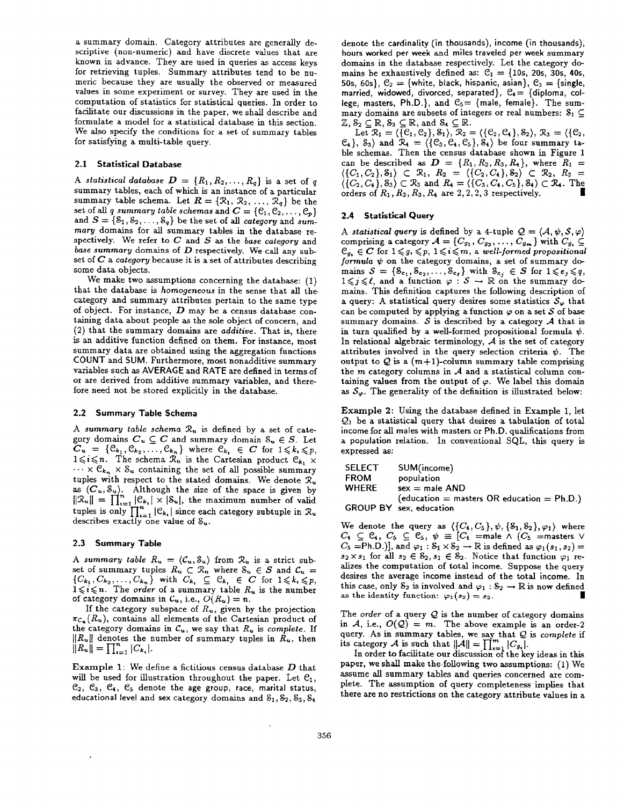a summary domain. Category attributes are generally descriptive (non-numeric) and have discrete values that are known in advance. They are used in queries as access keys for retrieving tuples. Summary attributes tend to be numeric because they are usually the observed or measured values in some experiment or survey. They are used in the computation of statistics for statistical queries. In order to facilitate our discussions in the paper, we shall describe and formulate a model for a statistical database in this section. We also specify the conditions for a set of summary tables for satisfying a multi-table query.

# 2.1 Statistical Database

A statistical database  $D = \{R_1, R_2, \ldots, R_q\}$  is a set of q summary tables, each of which is an instance of a particular summary table schema. Let  $\mathbf{R} = \{ \mathcal{R}_1, \mathcal{R}_2, \ldots, \mathcal{R}_q \}$  be the set of all g summary table schemas and  $C = \{C_1, C_2, \ldots, C_p\}$ and  $S = \{S_1, S_2, \ldots, S_q\}$  be the set of all category and summarg domains for all summary tables in the database respectively. We refer to  $C$  and  $S$  as the base category and base summary domains of  $D$  respectively. We call any subset of  $C$  a category because it is a set of attributes describing some data objects.

We make two assumptions concerning the database: (I) that the database is homogeneous in the sense that all the. category and summary attributes pertain to the same type of object. For instance,  $D$  may be a census database containing data about people as the sole object of concern, and (2) that the summary domains are additive. That is, there is an additive function defined on them. For instance, most summary data are obtained using the aggregation functions COUNT and SUM. Furthermore, most nonadditive summary variables such as AVERAGE and RATE are defined in terms of or are derived from additive summary variables, and therefore need not be stored explicitly in the database.

## 2.2 Summary Table Schema

A summary table schema  $\mathcal{R}_u$  is defined by a set of category domains  $C_u \subseteq C$  and summary domain  $S_u \in S$ . Let  $C_u = \{ \mathcal{C}_{k_1}, \mathcal{C}_{k_2}, \ldots, \mathcal{C}_{k_n} \}$  where  $\mathcal{C}_{k_i} \in C$  for  $1 \leqslant k_i \leqslant p$ ,  $1 \leqslant i \leqslant n$ . The schema  $\mathcal{R}_u$  is the Cartesian product  $\mathcal{C}_{k_1} \times$  $\cdots \times \mathcal{C}_{k_n} \times \mathcal{S}_u$  containing the set of all possible summary tuples with respect to the stated domains. We denote  $\mathcal{R}_u$ as  $(C_u, S_u)$ . Although the size of the space is given by  $||\mathcal{R}_u|| = \prod_{i=1}^n |\mathcal{C}_{k_i}| \times |\mathcal{S}_u|$ , the maximum number of valid tuples is only  $\prod_{i=1}^{n} |\mathcal{C}_{k_i}|$  since each category subtuple in  $\mathcal{R}_u$ describes exactly one value of  $S_u$ .

#### 2.3 Summary Table

A summary table  $R_u = \langle C_u, S_u \rangle$  from  $\mathcal{R}_u$  is a strict subset of summary tuples  $R_u \subset \mathcal{R}_u$  where  $\delta_u \in S$  and  $\mathcal{C}_u =$  $\{C_{k_1}, C_{k_2},\ldots,C_{k_n}\}\$  with  $C_{k_i} \subseteq C_{k_i} \in C$  for  $1 \leqslant k_i \leqslant p_i$  $1 \leqslant i \leqslant n$ . The *order* of a summary table  $R_u$  is the number of category domains in  $C_u$ , i.e.,  $O(R_u) = n$ .

If the category subspace of  $R_u$ , given by the projection  $\pi_{\mathcal{C}_{\mathbf{R}}}(R_{\mathbf{u}})$ , contains all elements of the Cartesian product of the category domains in  $C_u$ , we say that  $R_u$  is complete. If  $||K_u||$  denotes the number of summary tuples in  $K_u$ , then  $\|I^{\text{equ}}\| = 1$   $\|I_{\text{equ}}\| \leq k_1$ 

Example 1: We define a fictitious census database  $D$  that will be used for illustration throughout the paper. Let  $C_1$ ,  $C_2, C_3, C_4, C_5$  denote the age group, race, marital status, educational level and sex category domains and  $S_1, S_2, S_3, S_4$ 

denote the cardinality (in thousands), income (in thousands), hours worked per week and miles traveled per week summary domains in the database respectively. Let the category domains be exhaustively defined as:  $C_1 = \{10s, 20s, 30s, 40s, \}$ 50s, 60s},  $C_2 = \{white, black, hispanic, asian\}, C_3 = {single,}$ married, widowed, divorced, separated},  $C_4 = \{diploma, col$ lege, masters, Ph.D.}, and  $C_5$  = {male, female}. The summary domains are subsets of integers or real numbers:  $S_1 \subseteq$  $\mathbb{Z}, \delta_2 \subseteq \mathbb{R}, \delta_3 \subseteq \mathbb{R},$ 

Let  $\mathcal{R}_1 = \langle \{\mathcal{C}_1, \mathcal{C}_2\}, \delta_1 \rangle, \ \mathcal{R}_2 = \langle \{\mathcal{C}_2, \mathcal{C}_4\}, \delta_2 \rangle, \ \mathcal{R}_3 = \langle \{\mathcal{C}_3, \mathcal{C}_4\}, \delta_4 \rangle, \mathcal{R}_4 = \langle \{\mathcal{C}_4, \mathcal{C}_4\}, \delta_5 \rangle, \mathcal{R}_5 = \langle \{\mathcal{C}_5, \mathcal{C}_6, \mathcal{C}_6\}, \mathcal{R}_6 \rangle, \mathcal{R}_7 \rangle$  $\{c_4\}$ ,  $\delta_3$ ) and  $\kappa_4 = \{c_3, c_4, c_5\}$ ,  $\delta_4$ ) be four summary table schemas. Then the census database shown in Figure 1 can be described as  $D = \{R_1, R_2, R_3, R_4\}$ , where  $R_1 =$  $\langle \{ C_1, C_2 \}, \delta_1 \rangle \subset \mathcal{R}_1, R_2 = \langle \{ C_2, C_4 \}, \delta_2 \rangle \subset \mathcal{R}_2, R_3 =$  $(\{C_2, C_4\}, \delta_3) \subset \mathbb{K}_3$  and  $K_4 = (\{C_3, C_4, C_5\}, \delta_4) \subset \mathbb{K}_4$ . In orders of  $R_1$ ,  $R_2$ ,  $R_3$ ,  $R_4$  are 2, 2, 2, 3 respectively.

# 2.4 Statistical Query

A statistical query is defined by a 4-tuple  $Q = \langle A, \psi, S, \varphi \rangle$ comprising a category  $\mathcal{A} = \{C_{g_1}, C_{g_2}, \ldots, C_{g_m}\}$  with  $C_{g_i} \subseteq$  $\mathcal{C}_g$ ,  $\in \mathbb{C}$  for  $1 \leqslant g$ ,  $\leqslant p$ ,  $1 \leqslant i \leqslant m$ , a well-formed propositional formula  $\psi$  on the category domains, a set of summary domains  $S = \{S_{e_1}, S_{e_2}, \ldots, S_{e_\ell}\}\$  with  $S_{e_j} \in S$  for  $1 \leqslant e_j \leqslant q$  $1 \leqslant j \leqslant \ell$ , and a function  $\varphi : \mathcal{S} \to \mathbb{R}$  on the summary domains. This definition captures the following description of a query: A statistical query desires some statistics  $S_{\varphi}$  that can be computed by applying a function  $\varphi$  on a set S of base summary domains.  $S$  is described by a category  $A$  that is in turn qualified by a well-formed propositional formula  $\psi$ . In relational algebraic terminology,  $A$  is the set of category attributes involved in the query selection criteria  $\psi$ . The output to Q is a  $(m+1)$ -column summary table comprising the  $m$  category columns in  $A$  and a statistical column containing values from the output of  $\varphi$ . We label this domain as  $S_{\varphi}$ . The generality of the definition is illustrated below:

Example 2: Using the database defined in Example 1, let  $Q_1$  be a statistical query that desires a tabulation of total income for all males with masters or Ph.D. qualifications from a population relation. In conventional SQL, this query is expressed as:

| SELECT      | SUM(income)                                   |
|-------------|-----------------------------------------------|
| <b>FROM</b> | population                                    |
| WHERE       | $sex = male AND$                              |
|             | (education = masters OR education = $Ph.D.$ ) |
|             | <b>GROUP BY</b> sex, education                |

We denote the query as  $({C_4, C_5}, \psi, {S_1, S_2}, \varphi_1)$  wher  $C_4 ~\subseteq~ \mathbb{C}_4, ~C_5 ~\subseteq~ \mathbb{C}_5, ~\psi ~\equiv~ |C_4|$  =male  $\wedge~ (C_5$  =masters  $\vee$  $C_5 =$ Ph.D.)], and  $\varphi_1 : \mathcal{S}_1 \times \mathcal{S}_2 \to \mathbb{R}$  is defined as  $\varphi_1(s_1, s_2) =$  $s_2 \times s_1$  for all  $s_2 \in S_2, s_1 \in S_2$ . Notice that function  $\varphi_1$  realizes the computation of total income. Suppose the query desires the average income instead of the total income. In this case, only  $S_2$  is involved and  $\varphi_1 : S_2 \to \mathbb{R}$  is now defined as the identity function:  $\varphi_1(s_2) = s_2$ .

The order of a query  $Q$  is the number of category domains in A, i.e.,  $O(Q) = m$ . The above example is an order-2 query. As in summary tables, we say that  $Q$  is *complete* if its category A is such that  $||A|| = \prod_{i=1}^{m} |C_{a_i}|$ .

In order to facilitate our discussion of the key ideas in this paper, we shall make the following two assumptions: (1) We assume all summary tables and queries concerned are complete. The assumption of query completeness implies that there are no restrictions on the category attribute values in a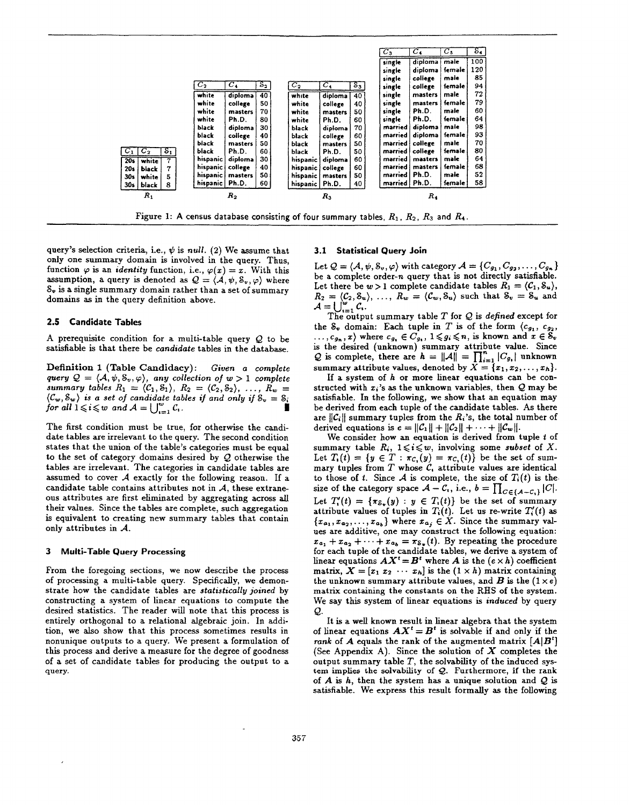|                          |                   |          |                  |                 |                  |         |       | $C_3$           | $C_{4}$ | $C_5$    | $s_{\bullet}$ |  |  |  |
|--------------------------|-------------------|----------|------------------|-----------------|------------------|---------|-------|-----------------|---------|----------|---------------|--|--|--|
|                          |                   |          |                  |                 |                  |         |       | single          | diploma | male     | 100           |  |  |  |
|                          |                   |          |                  |                 |                  |         |       | single          | diploma | female   | 120           |  |  |  |
|                          |                   |          |                  |                 |                  |         |       | single          | college | male     | 85            |  |  |  |
|                          |                   | $C_2$    | $\scriptstyle c$ | $S_{2}$         | $C_2$            | $C_4$   | $S_3$ | single          | college | female   | 94            |  |  |  |
|                          |                   | white    | diploma          | $40^{\circ}$    | white            | diploma | 40    | single          | masters | male     | 72            |  |  |  |
|                          |                   | white    | college          | 50              | white            | college | 40    | single          | masters | female   | 79            |  |  |  |
|                          |                   | white    | masters          | 70              | white            | masters | 50    | single          | Ph.D.   | maie     | 60            |  |  |  |
|                          |                   | white    | Ph.D.            | 80              | white            | Ph.D.   | 60    | single          | Ph.D.   | female   | 64            |  |  |  |
|                          |                   | black    | diploma          | 30              | black            | diploma | 70    | married         | diploma | male     | 98            |  |  |  |
|                          |                   | black    | college          | 40              | black            | college | 60    | married         | diploma | female   | 93            |  |  |  |
|                          |                   | black    | masters          | 50              | black            | masters | 50    | married         | college | male     | 70            |  |  |  |
| $C_1$  <br>$C_2$         | $s_{1}$           | black    | Ph.D.            | 60              | black            | Ph.D.   | 50    | married         | college | female   | 80            |  |  |  |
| 20 <sub>5</sub><br>white | $\overline{\tau}$ | hispanic | diploma          | 30              | hispanic         | diploma | 60    | married         | masters | male     | 64            |  |  |  |
| <b>20s</b><br>black      | 7                 | hispanic | college          | 40              | hispanic         | college | 60    | married         | masters | female   | 68            |  |  |  |
| white<br>30s             | 5                 | hispanic | masters          | 50 <sub>1</sub> | hispanic         | masters | 50    | married         | Ph.D.   | male     | 52            |  |  |  |
| 30s<br>black             | 8                 | hispanic | Ph.D.            | 60              | hispanic   Ph.D. |         | 40    | married   Ph.D. |         | female ! | 58            |  |  |  |
| $R_{1}$                  |                   |          | $R_{2}$          |                 |                  | $R_{3}$ |       |                 | $R_{4}$ |          |               |  |  |  |
|                          |                   |          |                  |                 |                  |         |       |                 |         |          |               |  |  |  |

Figure 1: A census database consisting of four summary tables,  $R_1$ ,  $R_2$ ,  $R_3$  and  $R_4$ .

query's selection criteria, i.e.,  $\psi$  is null. (2) We assume that only one summary domain is involved in the query. Thus, function  $\varphi$  is an *identity* function, i.e.,  $\varphi(x)=x$ . With this assumption, a query is denoted as  $Q = \langle A, \psi, S_v, \varphi \rangle$  where  $S_v$  is a single summary domain rather than a set of summary domains as in the query definition above.

## 2.5 Candidate Tables

A prerequisite condition for a multi-table query  $Q$  to be satisfiable is that there be candidate tables in the database.

Definition 1 (Table Candidacy): Given a complete query  $Q = \langle A, \psi, S_v, \varphi \rangle$ , any collection of  $w > 1$  complete summary tables  $R_1 = \langle \mathcal{C}_1, \mathcal{S}_1 \rangle$ ,  $R_2 = \langle \mathcal{C}_2, \mathcal{S}_2 \rangle$ , ...,  $R_w =$  $\langle C_w, S_w \rangle$  is a set of candidate tables if and only if  $S_v = S_v$ for all  $1 \leqslant i \leqslant w$  and  $A = \bigcup_{i=1}^{\infty} C_i$ .

The first condition must be true, for otherwise the candidate tables are irrelevant to the query. The second condition states that the union of the table's categories must be equal to the set of category domains desired by Q otherwise the tables are irrelevant. The categories in candidate tables are assumed to cover  $A$  exactly for the following reason. If a candidate table contains attributes not in  $A$ , these extraneous attributes are first eliminated by aggregating across all their values. Since the tables are complete, such aggregation is equivalent to creating new summary tables that contain only attributes in A.

### 3 Multi-Table Query Processing

From the foregoing sections, we now describe the process of processing a multi-table query. Specifically, we demonstrate how the candidate tables are statistically joined by constructing a system of linear equations to compute the desired statistics. The reader will note that this process is entirely orthogonal to a relational algebraic join. In addition, we also show that this process sometimes results in nonunique outputs to a query. We present a formulation of this process and derive a measure for the degree of goodness of a set of candidate tables for producing the output to a query.

### 3.1 Statistical Query Join

Let  $\mathcal{Q} = (\mathcal{A}, \psi, \mathcal{S}_v, \varphi)$  with category  $\mathcal{A} = \{C_{g_1}, C_{g_2}, \ldots, C_{g_n}\}$ be a complete order-n query that is not directly satisfiable. Let there be  $w > 1$  complete candidate tables  $R_1 = \langle C_1, S_u \rangle$ ,  $R_2 = \langle C_2, \delta_u \rangle, \ \ldots, \ R_w = \langle C_w, \delta_u \rangle$  such that  $\delta_v = \delta_u$  and  $\mathcal{A} = \bigcup_{i=1}^{\infty} C_i$ .

The output summary table T for  $Q$  is defined except for the  $S_v$  domain: Each tuple in T is of the form  $\langle c_{g_1}, c_{g_2},$  $\dots, c_{g_n}, x$  where  $c_{g_n} \in C_{g_n}$ ,  $1 \leq g_i \leq n$ , is known and  $x \in S_v$ is the desired (unknown) summary attribute value. Since Q is complete, there are  $h = ||A|| = \prod_{i=1}^{n} |C_{g_i}|$  unknown summary attribute values, denoted by  $X = \{x_1, x_2, \ldots, x_h\}.$ 

If a system of  $h$  or more linear equations can be constructed with  $x_i$ 's as the unknown variables, then  $Q$  may be satisfiable. In the following, we show that an equation may be derived from each tuple of the candidate tables. As there are  $||C_i||$  summary tuples from the  $R_i$ 's, the total number of derived equations is  $e = ||\mathcal{C}_1|| + ||\mathcal{C}_2|| + \cdots + ||\mathcal{C}_w||$ .

We consider how an equation is derived from tuple  $t$  of summary table  $R_i$ ,  $1 \leq i \leq w$ , involving some subset of X. Let  $T_1(t) = \{y \in T : \pi_{C_1}(y) = \pi_{C_1}(t)\}$  be the set of summary tuples from  $T$  whose  $C_i$ , attribute values are identical to those of t. Since A is complete, the size of  $T_i(t)$  is the size of the category space  $\mathcal{A} - \mathcal{C}_1$ , i.e.,  $b = \prod_{C \in \{A-C_1\}} |C|$ . Let  $T'(t) = \{\pi_{\mathcal{S}_n}(y) : y \in T_i(t)\}\)$  be the set of summary attribute values of tuples in  $T_i(t)$ . Let us re-write  $T_i'(t)$  as  ${x_{a_1}, x_{a_2}, \ldots, x_{a_b}}$  where  $x_{a_j} \in X$ . Since the summary values are additive, one may construct the following equation:  $x_{a_1} + x_{a_2} + \cdots + x_{a_b} = \pi_{\delta_v}(t)$ . By repeating the procedure for each tuple of the candidate tables, we derive a system of linear equations  $AX^t = B^t$  where A is the  $(e \times h)$  coefficient matrix,  $X = [x_1 \ x_2 \ \cdots \ x_h]$  is the  $(1 \times h)$  matrix containing the unknown summary attribute values, and  $\bm{B}$  is the  $(1 \times e)$ matrix containing the constants on the RHS of the system. We say this system of linear equations is induced by query  $Q$ .

It is a well known result in linear algebra that the system of linear equations  $AX^t = B^t$  is solvable if and only if the rank of A equals the rank of the augmented matrix  $[A|B^t]$ (See Appendix A). Since the solution of  $X$  completes the output summary table  $T$ , the solvability of the induced system implies the solvability of Q. Furthermore, if the rauk of  $A$  is  $h$ , then the system has a unique solution and  $Q$  is satisfiable. We express this result formally as the following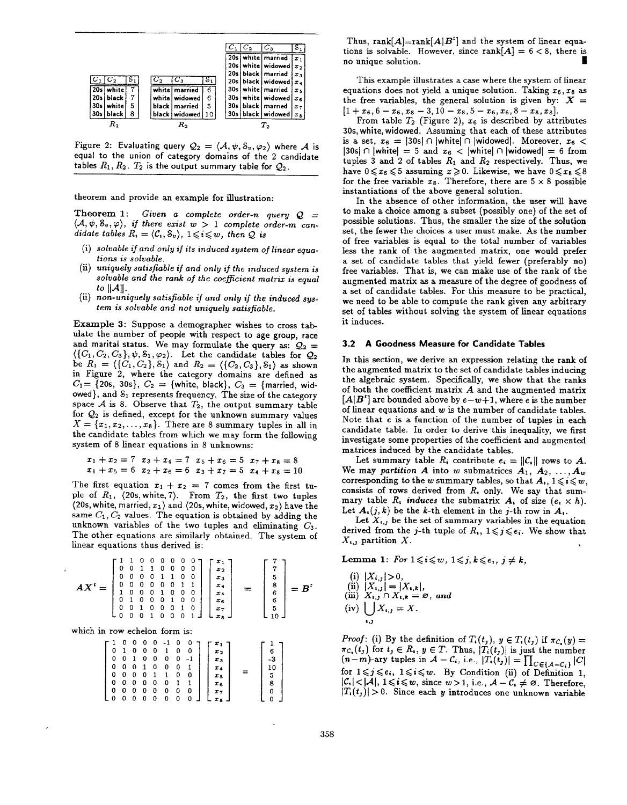|                 |           |   |         |                 |    |  | $\scriptstyle{C_{3}}$   |            |
|-----------------|-----------|---|---------|-----------------|----|--|-------------------------|------------|
|                 |           |   |         |                 |    |  | 20s white married       | $x_1$      |
|                 |           |   |         |                 |    |  | 20s   white   widowed   | متدا       |
|                 |           |   |         |                 |    |  | 20s black   married     | $x_{3}$    |
|                 |           |   | $C_2$   | $C_{3}$         | s, |  | 20s black widowed $x_4$ |            |
|                 | 20s white |   | white l | married         | 6  |  | 30s white married       | $x_{5}$    |
| 20s             | black     |   |         | white widowed   | 6  |  | 30s white widowed       | $x_{6}$    |
| 30 <sub>s</sub> | white     | 5 | black i | married         | 5  |  | 30s black   married     | $x_{\tau}$ |
|                 | 30s black | 8 |         | black   widowed | 10 |  | 30s black widowed       | $x_{3}$    |
|                 |           |   |         | к,              |    |  | ľ2                      |            |

Figure 2: Evaluating query  $\mathcal{Q}_2 = \langle \mathcal{A}, \psi, \mathcal{S}_v, \varphi_2 \rangle$  where  $\mathcal A$  is equal to the union of category domains of the 2 candidate tables  $R_1, R_2, T_2$  is the output summary table for  $Q_2$ .

theorem and provide an example for illustration:

Theorem 1: Given a complete order-n query  $Q =$  $\langle A, \psi, \mathcal{S}_{v}, \varphi \rangle$ , if there exist  $w > 1$  complete order-m candidate tables  $R_i = \langle C_i, S_v \rangle$ ,  $1 \leq i \leq w$ , then Q is

- (i) solvable if and only if its induced system of linear equations is solvable.
- (ii) uniquely satisfiable if and only it the induced system is solvable and the rank of the coefficient matrix is equal to  $||A||$ .
- $\mu$  non-uniquely satisfiable if and only if the induced sys tem is solvable and not uniquely satisfiable.

Example 3: Suppose a demographer wishes to cross tab ulate the number of people with respect to age group, race and marital status. We may formulate the query as:  $Q_2 =$  $\langle \{C_1, C_2, C_3\}, \psi, \mathcal{S}_1, \varphi_2 \rangle$ . Let the candidate tables for  $\mathcal{Q}_2$ be  $R_1 = \langle \{C_1, C_2\}, S_1 \rangle$  and  $R_2 = \langle \{C_2, C_3\}, S_1 \rangle$  as shown in Figure 2, where the category domains are defined as  $C_1=$  {20s, 30s},  $C_2 =$  {white, black},  $C_3 =$  {married, widowed}, and  $S_1$  represents frequency. The size of the category space A is 8. Observe that  $T_2$ , the output summary table for  $Q_2$  is defined, except for the unknown summary values  $X={x_1, x_2, ..., x_8}.$  There are 8 summary tuples in all in the candidate tables from which we may form the following system of 8 linear equations in 8 unknowns:

$$
x_1 + x_2 = 7
$$

$$
x_3 + x_4 = 7
$$

$$
x_5 + x_6 = 5
$$

$$
x_7 + x_8 = 8
$$

$$
x_1 + x_5 = 6
$$

$$
x_2 + x_6 = 6
$$

$$
x_3 + x_7 = 5
$$

$$
x_4 + x_8 = 10
$$

The first equation  $x_1 + x_2 = 7$  comes from the first tuple of  $R_1$ ,  $\langle 20s, \text{white}, 7 \rangle$ . From  $T_2$ , the first two tuples (20s, white, married,  $x_1$ ) and (20s, white, widowed,  $x_2$ ) have the same  $C_1, C_2$  values. The equation is obtained by adding the unknown variables of the two tuples and eliminating  $C_3$ . The other equations are similarly obtained. The system of linear equations thus derived is:

$$
AX^{t} = \begin{bmatrix} 1 & 1 & 0 & 0 & 0 & 0 & 0 & 0 \\ 0 & 0 & 1 & 1 & 0 & 0 & 0 & 0 \\ 0 & 0 & 0 & 0 & 1 & 1 & 0 & 0 \\ 0 & 0 & 0 & 0 & 0 & 1 & 1 \\ 1 & 0 & 0 & 0 & 1 & 0 & 0 \\ 0 & 1 & 0 & 0 & 0 & 1 & 0 \\ 0 & 0 & 1 & 0 & 0 & 0 & 1 \end{bmatrix} \begin{bmatrix} x_1 \\ x_2 \\ x_3 \\ x_4 \\ x_5 \\ x_6 \\ x_7 \\ x_8 \end{bmatrix} = \begin{bmatrix} 7 \\ 7 \\ 5 \\ 8 \\ 6 \\ 6 \\ 10 \end{bmatrix} = B^{t}
$$

which in row echelon form is:

| 0<br>0<br>٥<br>Ł<br>L<br>L<br>0<br>0 | 0<br>0<br>0<br>0<br>0 | 0<br>0<br>-1<br>0<br>0<br>0<br>0 | 0<br>$\mathbf 0$<br>0<br>1<br>- 0<br>0<br>0 | 0<br>0<br>0<br>0<br>-1<br>0<br>0 | -1<br>ı<br>0<br>0<br>0<br>0 | 0<br>0<br>0<br>0 | 0<br>1<br>0<br>o | $x_1$<br>$x_{2}$<br>$x_{3}$<br>IΔ.<br>x.<br>$x_{6}$ | ◠<br>8 |  |
|--------------------------------------|-----------------------|----------------------------------|---------------------------------------------|----------------------------------|-----------------------------|------------------|------------------|-----------------------------------------------------|--------|--|
| L<br>L.                              |                       | 0                                | 0                                           | -0                               | 0                           | 0                | 0                | $x_{7}$<br>$x_{\rm A}$                              |        |  |

Thus,  $rank[A] = rank[A|B^t]$  and the system of linear equations is solvable. However, since  $rank[A] = 6 < 8$ , there is no unique solution.

This example illustrates a case where the system of linear equations does not yield a unique solution. Taking  $x_6, x_8$  as the free variables, the general solution is given by:  $X =$  $[1+x_6, b-x_6, x_8-3, 10-x_8, 5-x_6, x_6, 8-x_8, 2]$ 

from table  $I_2$  (Figure 2),  $x_6$  is described by attribut 30s, white, widowed. Assuming that each of these attributes is a set,  $x_6 = |30s| \cap |\text{white}| \cap |\text{widowed}|$ . Moreover,  $x_6 <$  $|30s| \cap |$  whitel = 5 and  $x_6$  < | white|  $\cap$  | widowed| = 6 from tuples 3 and 2 of tables  $R_1$  and  $R_2$  respectively. Thus, we have  $0 \leq x_6 \leq 5$  assuming  $x \geq 0$ . Likewise, we have  $0 \leq x_8 \leq 8$ for the free variable  $x_8$ . Therefore, there are  $5 \times 8$  possible instantiations of the above general solution.

In the absence of other information, the user will have to make a choice among a subset (possibly one) of the set of possible solutions. Thus, the smaller the size of the solution set, the fewer the choices a user must make. As the number of free variables is equal to the total number of variables less the rank of the augmented matrix, one would prefer a set of candidate tables that yield fewer (preferably no) free variables. That is, we can make use of the rank of the augmented matrix as a measure of the degree of goodness of a set of candidate tables. For this measure to be practical, we need to be able to compute the rank given any arbitrary set of tables without solving the system of linear equations it induces.

## 3.2 A Goodness Measure for Candidate Tables

In this section, we derive an expression relating the rank of the augmented matrix to the set of candidate tables inducing the algebraic system. Specifically, we show that the ranks of both the coefficient matrix A and the augmented matrix  $[A|B^r]$  are bounded above by  $e-w+1$ , where e is the number of linear equations and w is the number of candidate tables. Note that e is a function of the number of tuples in each candidate table. In order to derive this inequality, we first investigate some properties of the coefficient and augmented matrices induced by the candidate tables.

Let summary table  $R_i$  contribute  $e_i = ||C_i||$  rows to A. We may partition A into w submatrices  $A_1, A_2, ..., A_w$ corresponding to the w summary tables, so that  $A_i$ ,  $1 \leq i \leq w$ , consists of rows derived from  $R<sub>t</sub>$  only. We say that summary table  $R_i$ , induces the submatrix  $A_i$  of size  $(e_i \times h)$ . Let  $A_i(j,k)$  be the k-th element in the j-th row in  $A_i$ .

Let  $X_{i,j}$  be the set of summary variables in the equation derived from the j-th tuple of  $R_i$ ,  $1 \leq j \leq e_i$ . We show that  $X_{i,j}$  partition X. .

Lemma 1: For  $1 \leq i \leq w$ ,  $1 \leq j, k \leq e_i$ ,  $j \neq k$ ,

(i) 
$$
|X_{i,j}| > 0
$$
,  
\n(ii)  $|X_{i,j}| = |X_{i,k}|$ ,  
\n(iii)  $X_{i,j} \cap X_{i,k} = \varnothing$ , and  
\n(iv)  $\bigcup_{i,j} X_{i,j} = X$ .

*Proof:* (i) By the definition of  $T_i(t_j)$ ,  $y \in T_i(t_j)$  if  $\pi_{C_i}(y) =$  $\pi_{\mathcal{C}_t}(t_j)$  for  $t_j \in R_t$ ,  $y \in T$ . Thus,  $|T_i(t_j)|$  is just the number  $(n-m)$ -ary tuples in  $\mathcal{A} - \mathcal{C}_i$ , i.e.,  $|\hat{T}_i(t_j)| = \prod_{C \in \{A-C_i\}} |C|$ for  $1 \leq j \leq e_i$ ,  $1 \leq i \leq w$ . By Condition (ii) of Definition 1,  $|\mathcal{C}_1| < |\mathcal{A}|, 1 \leq i \leq w$ , since  $w > 1$ , i.e.,  $\mathcal{A} - \mathcal{C}_1 \neq \emptyset$ . Therefore,  $|T_i(t_j)| > 0$ . Since each y introduces one unknown variable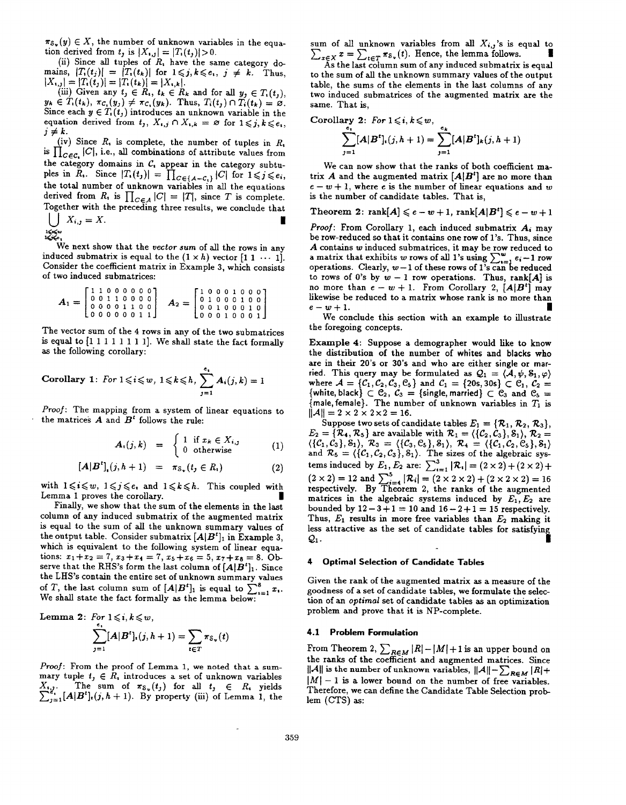$\pi_{\mathcal{S}_{\nu}}(y) \in X$ , the number of unknown variables in the equation derived from  $t_j$  is  $|X_{i,j}| = |T_i(t_j)| > 0$ .

(ii) Since all tuples of  $R_1$  have the same category domains,  $|T_i(t_j)| = |T_i(t_k)|$  for  $1 \leq j, k \leq e_i, j \neq k$ . Thus,  $|X_{i,j}| = |T_i(t_j)| = |T_i(t_k)| = |X_{i,k}|.$ 

(iii) Given any  $t_j \in R_i$ ,  $t_k \in R_k$  and for all  $y_j \in T_i(t_j)$ ,  $y_k \in T_1(k)$ ,  ${}^nC_1(y_j) \neq {}^nC_1(y_k)$ . Thus,  $T_1(t_j) + T_1(k) = 0$ . Since each  $y \in I_1(t_j)$  introduces an unknown variable in the equation derived from  $t_j$ ,  $X_{i,j} \cap X_{i,k} = \varnothing$  for  $1 \leq j, k \leq e_i$ ,  $j \neq k$ .

 $\overline{\phantom{a}}$ (iv) Since  $R_i$ , is complete, the number of tuples in  $R_i$ is  $\prod_{C \in \mathcal{C}_1} |C|$ , i.e., all combinations of attribute values from the category domains in  $C_t$ , appear in the category subtuples in  $R_i$ . Since  $|I_i(t_j)| = \prod_{C \in \{A-C_i\}} |C|$  for  $1 \leq j \leq j$ the total number of unknown variables in all the equation derived from  $R_i$  is  $\prod_{C \in A} |C| = |I|$ , since T is complete. Together with the preceding three results, we conclude that  $\bigcup_{i,j} A_{i,j} = \Lambda.$ 

$$
\mathbf{K} \mathbf{K}^{\mathbf{w}}
$$

We next show that the vector sum of all the rows in any induced submatrix is equal to the  $(1 \times h)$  vector  $[1 \ 1 \ \cdots \ 1]$ . Consider the coefficient matrix in Example 3, which consists of two induced submatrices:

$$
A_1 = \begin{bmatrix} 1 & 1 & 0 & 0 & 0 & 0 & 0 & 0 \\ 0 & 0 & 1 & 1 & 0 & 0 & 0 & 0 \\ 0 & 0 & 0 & 0 & 1 & 1 & 0 & 0 \\ 0 & 0 & 0 & 0 & 0 & 0 & 1 & 1 \end{bmatrix} \quad A_2 = \begin{bmatrix} 1 & 0 & 0 & 0 & 1 & 0 & 0 & 0 \\ 0 & 1 & 0 & 0 & 0 & 1 & 0 & 0 \\ 0 & 0 & 1 & 0 & 0 & 0 & 1 & 0 \\ 0 & 0 & 0 & 1 & 0 & 0 & 0 & 1 \end{bmatrix}
$$

The vector sum of the 4 rows in any of the two submatrices is equal to [1 1 1 1 1 1 1 1]. We shall state the fact formally as the following corollary:

Corollary 1: For 
$$
1 \leq i \leq w
$$
,  $1 \leq k \leq h$ ,  $\sum_{j=1}^{e_i} A_i(j,k) = 1$ 

Proof: The mapping from a system of linear equations to the matrices  $A$  and  $B<sup>t</sup>$  follows the rule:

$$
A_i(j,k) = \begin{cases} 1 & \text{if } x_k \in X_{i,j} \\ 0 & \text{otherwise} \end{cases}
$$
 (1)

$$
[A|B'1](j, h + 1) = \pi_{S_v}(t_j \in R_v)
$$
 (2)

with  $1 \leq i \leq w$ ,  $1 \leq j \leq e$ , and  $1 \leq k \leq h$ . This coupled with Lemma 1 proves the corollary.

Finally, we show that the sum of the elements in the last column of any induced submatrix of the augmented matrix is equal to the sum of all the unknown summary values of the output table. Consider submatrix  $[A|B^t]_1$  in Example 3, which is equivalent to the following system of linear equations:  $x_1+x_2 = 7$ ,  $x_3+x_4 = 7$ ,  $x_5+x_6 = 5$ ,  $x_7+x_8 = 8$ . Observe that the RHS's form the last column of  $[A|B']_1$ . Since the LHS'S contain the entire set of unknown summary values of T, the last column sum of  $[A|B^t]_1$  is equal to  $\sum_{i=1}^8 x_i$ . We shall state the fact formally as the lemma below:

Lemma 2: For 
$$
1 \le i, k \le w
$$
,  
\n
$$
\sum_{j=1}^{\epsilon_1} [A|B^t], (j, h+1) = \sum_{t \in T} \pi_{\mathcal{S}_v}(t)
$$

Proof: From the proof of Lemma 1, we noted that a summary tuple  $t_j \in R$ , introduces a set of unknown variables  $X_{i,j}$ . The sum of  $\pi_{S_{\nu}}(t_j)$  for all  $t_j \in R_i$  yields  $\sum_{j=1}^{\infty}$ [A|B'](j, h+ l). By property (iii) of Lemma 1, the

sum of all unknown variables from all  $X_{i,j}$ 's is equal to  $\sum_{x \in X} x = \sum_{t \in T} \pi_{\delta_v}(t)$ . Hence, the lemma follows. As the last column sum of any induced submatrix is equal to the sum of all the unknown summary values of the output table, the sums of the elements in the last columns of any two induced submatrices of the augmented matrix are the same. That is,

Corollary 2: For 
$$
1 \leq i, k \leq w
$$
,  
\n
$$
\sum_{j=1}^{e_i} [A|B^t]_i(j,h+1) = \sum_{j=1}^{e_k} [A|B^t]_k(j,h+1)
$$

We can now show that the ranks of both coefficient matrix A and the augmented matrix  $[A|B^t]$  are no more than  $e - w + 1$ , where e is the number of linear equations and w is the number of candidate tables. That is,

Theorem 2:  $rank[A] \leqslant e-w+1$ ,  $rank[A|B'] \leqslant e-w+1$ 

*Proof:* From Corollary 1, each induced submatrix  $A_i$  may be row-reduced so that it contains one row of 1's. Thus, since A contains w induced submatrices, it may be row reduced to a matrix that exhibits w rows of all 1's using  $\sum_i e_i - 1$  row operations. Clearly,  $w-1$  of these rows of 1's can be reduced to rows of 0's by  $w - 1$  row operations. Thus, rank[A] is no more than  $e - w + 1$ . From Corollary 2,  $[A|B^t]$  may likewise be reduced to a matrix whose rank is no more than  $e-w+1$ .

We conclude this section with an example to illustrate the foregoing concepts.

Example 4: Suppose a demographer would like to know the distribution of the number of whites and blacks who are in their 20's or 30's and who are either single or married. This query may be formulated as  $Q_1 = \langle A, \psi, S_1, \varphi \rangle$ where  $\mathcal{A} = \{C_1, C_2, C_3, C_5\}$  and  $C_1 = \{20s, 30s\} \subset C_1$ ,  $C_2 =$ {white, black}  $\subset$   $\mathfrak{C}_2$ ,  $\mathfrak{C}_3$  = {single, married}  $\subset$   $\mathfrak{C}_3$  and  $\mathfrak{C}_5$  =  $\{$ male, female $\}$ . The number of unknown variables in  $T_1$  is  $\|\mathcal{A}\| = 2 \times 2 \times 2 \times 2 = 16.$ 

Suppose two sets of candidate tables  $E_1 = \{R_1, R_2, R_3\},$  $E_2 = \{K_4, K_5\}$  are available with  $\mathcal{R}_1 = \{\{C_2, C_3\}, S_1\}, \mathcal{R}_2 = \{\{C_1, C_3\}, S_1\}, \mathcal{R}_3 = \{\{C_3, C_5\}, S_1\}, \mathcal{R}_4 = \{\{C_1, C_2, C_5\}, S_1\}$ and  $\mathcal{R}_5 = \langle \{C_1, C_2, C_3\}, \delta_1 \rangle$ . The sizes of the algebraic systems induced by  $E_1, E_2$  are:  $\sum_{i=1}^{3} |\mathcal{R}_i| = (2 \times 2) + (2 \times 2) +$  $(2 \times 2) = 12$  and  $\sum_{i=4}^{\infty} |K_i| = (2 \times 2 \times 2) + (2 \times 2 \times 2)$ respectively. By Theorem 2, the ranks of the augment matrices in the algebraic systems induced by  $E_1, E_2$  are bounded by  $12 - 3 + 1 = 10$  and  $16 - 2 + 1 = 15$  respectively. Thus,  $E_1$  results in more free variables than  $E_2$  making it less attractive as the set of candidate tables for satisfyin  $\mathcal{Q}_1$ .

## 4 Optimal Selection of Candidate Tables

Given the rank of the augmented matrix as a measure of the goodness of a set of candidate tables, we formulate the selection of an *optimal* set of candidate tables as an optimization problem and prove that it is NP-complete.

### 4.1 Problem Formulation

From Theorem 2,  $\sum_{B \in M} |K| - |M| + 1$  is an upper bound on the ranks of the coefficient and augmented matrices. Since  $||A||$  is the number of unknown variables,  $||A|| - \sum_{B \subseteq M} |R|$  $|M| - 1$  is a lower bound on the number of free variables. Therefore, we can define the Candidate Table Selection prob lem (CTS) as: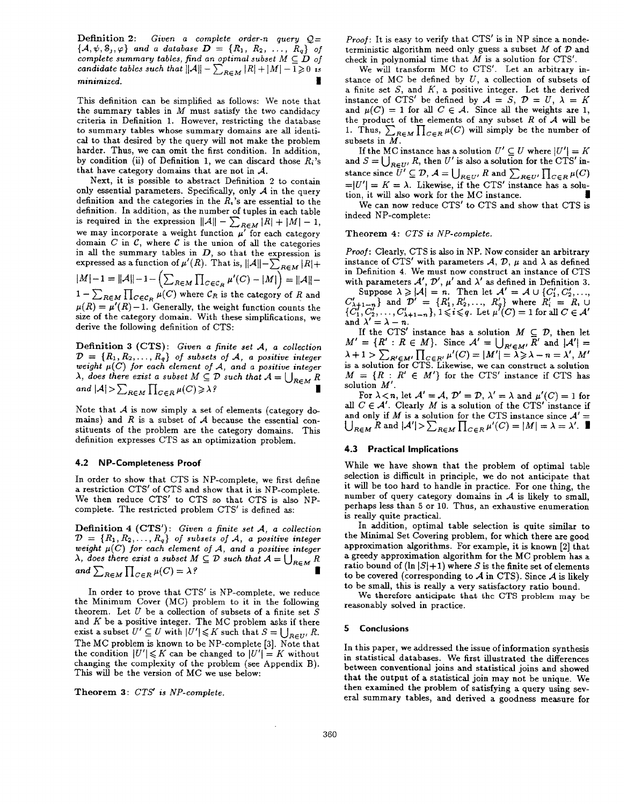Definition 2: Given a complete order-n query  $Q=$  $\{A, \psi, \phi_j, \varphi\}$  and a database  $D = \{R_1, R_2, \ldots, R_q\}$  of complete summary tables, find an optimal subset  $M\subseteq D$  of candidate tables such that  $||\mathcal{A}|| = \sum_{R \in \mathcal{M}} |R| + |M| - 1 \geq 0$  is minimized. I

This definition can be simplified as follows: We note that the summary tables in  $M$  must satisfy the two candidacy criteria in Definition 1. However, restricting the database to summary tables whose summary domains are all identical to that desired by the query will not make the problem harder. Thus, we can omit the first condition. In addition, by condition (ii) of Definition 1, we can discard those  $R_i$ 's that have category domains that are not in  $A$ .

Next, it is possible to abstract Definition 2 to contain only essential parameters. Specifically, only  $A$  in the query definition and the categories in the  $R_i$ 's are essential to the definition. In addition, as the number of tuples in each table is required in the expression  $||A|| - \sum_{B \in M} |R| + |M| - 1$ we may incorporate a weight function  $\mu'$  for each categor domain  $C$  in  $C$ , where  $C$  is the union of all the categories in all the summary tables in  $D$ , so that the expression is expressed as a function of  $\mu'(R)$ . That is,  $||A|| - \sum_{R \in M} |R| +$  $|M|-1 = ||A||-1- \left(\sum_{R\in M} \prod_{C\in C_R} \mu'(C) - |M|\right) = ||A||-1$  $\mu = \sum_{R \in M} \prod_{C \in \mathcal{C}_R} \mu(C)$  where  $\mathcal{C}_R$  is the category of  $R$  and  $\mu(R) = \mu'(R) - 1$ . Generally, the weight function counts the size of the category domain. With these simplifications, we derive the following definition of CTS:

Definition 3 (CTS): Given a finite set A, a collection  $D = \{R_1, R_2, \ldots, R_q\}$  of subsets of A, a positive integerweight  $\mu(C)$  for each element of A, and a positive integ  $\lambda$ , does there exist a subset  $M\subseteq \mathcal{V}$  such that  $\mathcal{A}=\left(\begin{array}{c} \end{array}\right)_{D\in M}$  h and  $|A| > \sum_{R \in M} \prod_{C \in R} \mu(C) \geq \lambda$ ?

Note that  $\mathcal A$  is now simply a set of elements (category domains) and  $R$  is a subset of  $A$  because the essential constituents of the problem are the category domains. This definition expresses CTS as an optimization problem.

## 4.2 NP-Completeness Proof

In order to show that CTS is NP-complete, we first define a restriction CTS' of CTS and show that it is NP-complete. We then reduce CTS' to CTS so that CTS is also NPcomplete. The restricted problem CTS' is defined as:

Definition 4 (CTS'): Given a finite set  $A$ , a collection  $\mathcal{D} = \{R_1, R_2, \ldots, R_q\}$  of subsets of A, a positive integer weight  $\mu(C)$  for each element of A, and a positive intege  $\lambda$ , does there exist a subset  $M \subseteq \mathcal{D}$  such that  $\mathcal{A} = \bigcup_{R \in \mathcal{M}} R$ n and  $\sum_{R\in M}\prod_{C\in R}\mu(C) = \lambda$ ?

In order to prove that CTS' is NP-complete, we reduce the Minimum Cover (MC) problem to it in the following theorem. Let  $U$  be a collection of subsets of a finite set  $S$ and  $K$  be a positive integer. The MC problem asks if ther exist a subset  $U \subseteq U$  with  $|U'| \leqslant K$  such that  $S = \bigcup_{R \in \mathcal{U}'} R$ . The MC problem is known to be NP-complete [3]. Note that the condition  $|U'| \leq K$  can be changed to  $|U'| = K$  without changing the complexity of the problem (see Appendix B). This will be the version of MC we use below:

Theorem 3: CTS' is NP-complete.

Proof: It is easy to verify that CTS' is in NP since a nondeterministic algorithm need only guess a subset  $M$  of  $D$  and check in polynomial time that  $M$  is a solution for CTS'.

We will transform MC to CTS'. Let an arbitrary instance of MC be defined by  $U$ , a collection of subsets of a finite set  $S$ , and  $K$ , a positive integer. Let the derived instance of CTS' be defined by  $A = S$ ,  $D = U$ ,  $\lambda = K$ and  $\mu(C) = 1$  for all  $C \in \mathcal{A}$ . Since all the weights are 1, the product of the elements of any subset  $R$  of  $A$  will be 1. Thus,  $\sum_{R \in M} \prod_{C \in R} \mu(C)$  will simply be the number of subsets in M

If the MC instance has a solution  $U' \subseteq U$  where  $|U'| = K$ and  $S = \bigcup_{R \in U'} R$ , then U' is also a solution for the CTS' instance since  $U' \subseteq D$ ,  $\mathcal{A} = \bigcup_{B \in H'} R$  and  $\bigcup_{B \in H'} \bigcup_{C \in B} \mu(C)$  $=|U'| = K = \lambda$ . Likewise, if the CTS' instance has a solution, it will also work for the MC instance.

We can now reduce CTS' to CTS and show that CTS is indeed NP-complete:

# Theorem 4: CTS is NP-complete.

Proof: Clearly, CTS is also in NP. Now consider an arbitrary instance of CTS' with parameters  $A, D, \mu$  and  $\lambda$  as defined in Definition 4. We must now construct an instance of CTS with parameters  $\mathcal{A}', \mathcal{D}', \mu'$  and  $\lambda'$  as defined in Definition 3.

Suppose  $\lambda \geqslant |\mathcal{A}| = n$ . Then let  $\mathcal{A}' = \mathcal{A} \cup \{C_1', C_2', ...$  $C_{\lambda+1-n}$ } and  $D' = \{K_1, K_2, ..., K_q\}$  where  $R'_i = R_i$  (<br>{ $C_1, C_2', ..., C_{\lambda+1-n}'\}$ ,  $1 \leq i \leq q$ . Let  $\mu'(C) = 1$  for all  $C \in \mathcal{A}$ and  $\lambda'$  =

If the CTS' instance has a solution  $M \subseteq \mathcal{D}$ , then let  $M' = \{K : K \in M\}$ . Since  $A' = \bigcup_{B \in M'} K'$  and  $|A'| =$  $\lambda + 1 > \sum_{R' \in M'} \prod_{C \in R'} \mu(C) = |M'| = \lambda \ge \lambda - n = \lambda', M'$ is a solution for CTS. Likewise, we can construct a solution  $M = \{K : K \in M'\}$  for the CTS' instance if CTS has solution M'.

For  $\lambda < n$ , let  $\mathcal{A}' = \mathcal{A}$ ,  $\mathcal{D}' = \mathcal{D}$ ,  $\lambda' = \lambda$  and  $\mu'(C) = 1$  for all  $C \in \mathcal{A}'$ . Clearly M is a solution of the CTS' instance if and only if *M* is a solution for the CTS instance since  $A' = \bigcup_{R \in M} R$  and  $|A'| > \sum_{R \in M} \prod_{C \in R} \mu'(C) = |M| = \lambda = \lambda'$ .

# 4.3 Practical Implications

While we have shown that the problem of optimal table selection is difficult in principle, we do not anticipate that it will be too hard to handle in practice. For one thing, the number of query category domains in  $A$  is likely to small. perhaps less than 5 or 10. Thus, an exhaustive enumeration is really quite practical.

In addition, optimal table selection is quite similar to the Minimal Set Covering problem, for which there are good approximation algorithms. For example, it is known [2] that a greedy approximation algorithm for the MC problem has a ratio bound of  $(\ln |S| + 1)$  where S is the finite set of elements to be covered (corresponding to  $\mathcal A$  in CTS). Since  $\mathcal A$  is likely to be small, this is really a very satisfactory ratio bound.

We therefore anticipate that the CTS problem may be reasonably solved in practice.

## 5 Conclusions

In this paper, we addressed the issue of information synthesis in statistical databases. We first illustrated the differences between conventional joins and statistical joins and showed that the output of a statistical join may not be unique. We then examined the problem of satisfying a query using several summary tables, and derived a goodness measure for